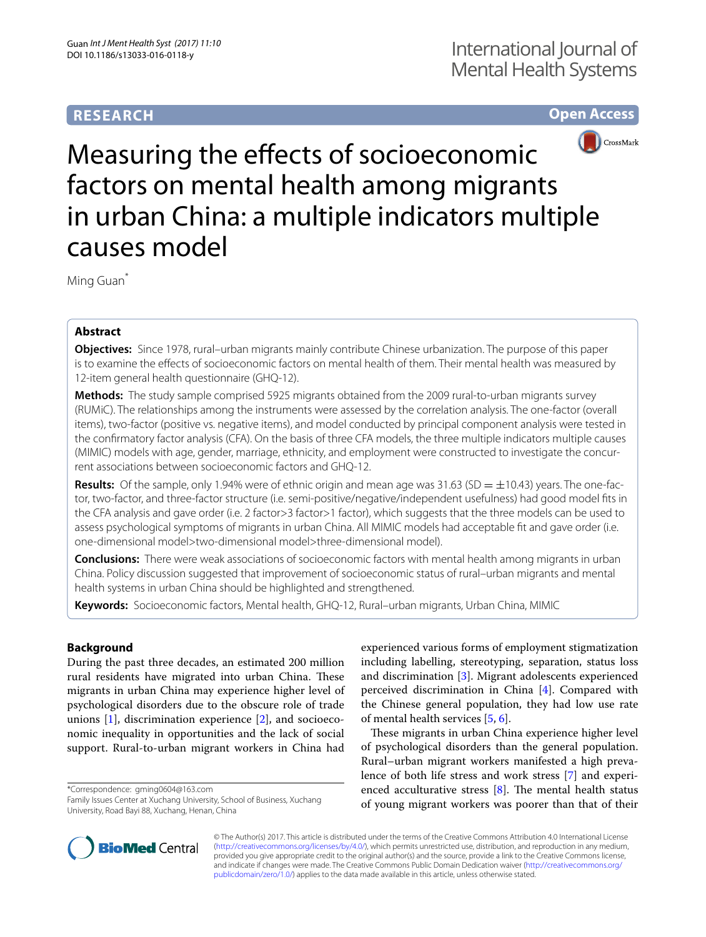# **RESEARCH**

**Open Access**



Measuring the effects of socioeconomic factors on mental health among migrants in urban China: a multiple indicators multiple causes model

Ming Guan<sup>\*</sup>

# **Abstract**

**Objectives:** Since 1978, rural–urban migrants mainly contribute Chinese urbanization. The purpose of this paper is to examine the effects of socioeconomic factors on mental health of them. Their mental health was measured by 12-item general health questionnaire (GHQ-12).

**Methods:** The study sample comprised 5925 migrants obtained from the 2009 rural-to-urban migrants survey (RUMiC). The relationships among the instruments were assessed by the correlation analysis. The one-factor (overall items), two-factor (positive vs. negative items), and model conducted by principal component analysis were tested in the confirmatory factor analysis (CFA). On the basis of three CFA models, the three multiple indicators multiple causes (MIMIC) models with age, gender, marriage, ethnicity, and employment were constructed to investigate the concurrent associations between socioeconomic factors and GHQ-12.

**Results:** Of the sample, only 1.94% were of ethnic origin and mean age was  $31.63$  (SD  $= \pm 10.43$ ) years. The one-factor, two-factor, and three-factor structure (i.e. semi-positive/negative/independent usefulness) had good model fits in the CFA analysis and gave order (i.e. 2 factor>3 factor>1 factor), which suggests that the three models can be used to assess psychological symptoms of migrants in urban China. All MIMIC models had acceptable fit and gave order (i.e. one-dimensional model>two-dimensional model>three-dimensional model).

**Conclusions:** There were weak associations of socioeconomic factors with mental health among migrants in urban China. Policy discussion suggested that improvement of socioeconomic status of rural–urban migrants and mental health systems in urban China should be highlighted and strengthened.

**Keywords:** Socioeconomic factors, Mental health, GHQ-12, Rural–urban migrants, Urban China, MIMIC

# **Background**

During the past three decades, an estimated 200 million rural residents have migrated into urban China. These migrants in urban China may experience higher level of psychological disorders due to the obscure role of trade unions [\[1\]](#page-8-0), discrimination experience [[2\]](#page-8-1), and socioeconomic inequality in opportunities and the lack of social support. Rural-to-urban migrant workers in China had

\*Correspondence: gming0604@163.com

Family Issues Center at Xuchang University, School of Business, Xuchang University, Road Bayi 88, Xuchang, Henan, China

experienced various forms of employment stigmatization including labelling, stereotyping, separation, status loss and discrimination [\[3\]](#page-8-2). Migrant adolescents experienced perceived discrimination in China [[4\]](#page-8-3). Compared with the Chinese general population, they had low use rate of mental health services [\[5](#page-8-4), [6\]](#page-8-5).

These migrants in urban China experience higher level of psychological disorders than the general population. Rural–urban migrant workers manifested a high prevalence of both life stress and work stress [\[7](#page-8-6)] and experienced acculturative stress  $[8]$  $[8]$ . The mental health status of young migrant workers was poorer than that of their



© The Author(s) 2017. This article is distributed under the terms of the Creative Commons Attribution 4.0 International License [\(http://creativecommons.org/licenses/by/4.0/\)](http://creativecommons.org/licenses/by/4.0/), which permits unrestricted use, distribution, and reproduction in any medium, provided you give appropriate credit to the original author(s) and the source, provide a link to the Creative Commons license, and indicate if changes were made. The Creative Commons Public Domain Dedication waiver ([http://creativecommons.org/](http://creativecommons.org/publicdomain/zero/1.0/) [publicdomain/zero/1.0/](http://creativecommons.org/publicdomain/zero/1.0/)) applies to the data made available in this article, unless otherwise stated.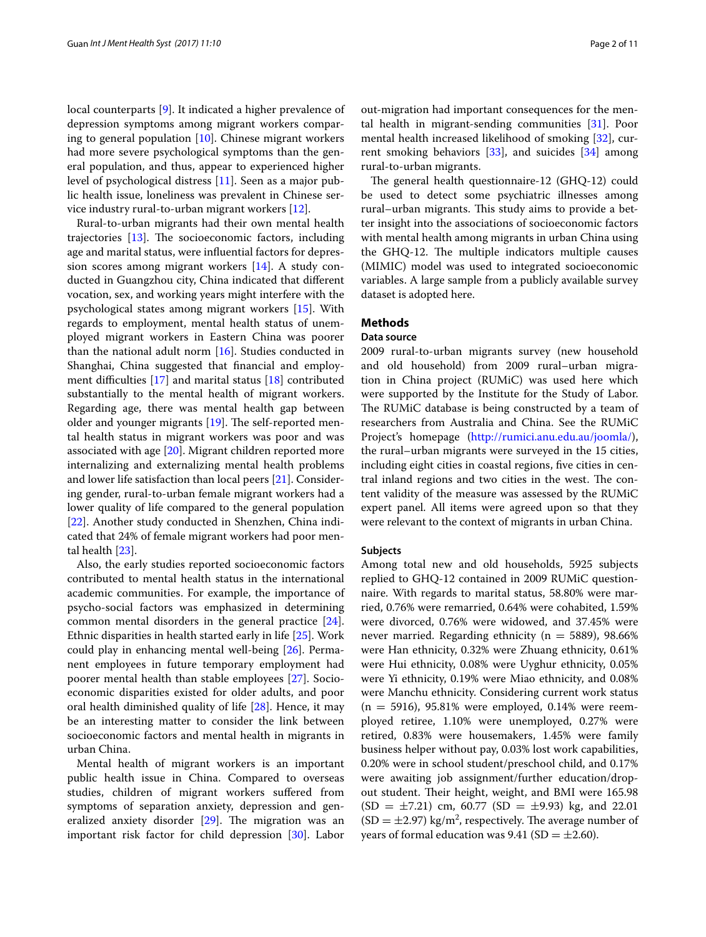local counterparts [\[9](#page-8-8)]. It indicated a higher prevalence of depression symptoms among migrant workers comparing to general population  $[10]$  $[10]$ . Chinese migrant workers had more severe psychological symptoms than the general population, and thus, appear to experienced higher level of psychological distress [[11\]](#page-8-10). Seen as a major public health issue, loneliness was prevalent in Chinese service industry rural-to-urban migrant workers [\[12\]](#page-8-11).

Rural-to-urban migrants had their own mental health trajectories [[13\]](#page-8-12). The socioeconomic factors, including age and marital status, were influential factors for depression scores among migrant workers [[14](#page-8-13)]. A study conducted in Guangzhou city, China indicated that different vocation, sex, and working years might interfere with the psychological states among migrant workers [[15\]](#page-8-14). With regards to employment, mental health status of unemployed migrant workers in Eastern China was poorer than the national adult norm [[16](#page-8-15)]. Studies conducted in Shanghai, China suggested that financial and employment difficulties [[17\]](#page-8-16) and marital status [\[18](#page-8-17)] contributed substantially to the mental health of migrant workers. Regarding age, there was mental health gap between older and younger migrants [[19\]](#page-8-18). The self-reported mental health status in migrant workers was poor and was associated with age [\[20\]](#page-8-19). Migrant children reported more internalizing and externalizing mental health problems and lower life satisfaction than local peers [\[21](#page-8-20)]. Considering gender, rural-to-urban female migrant workers had a lower quality of life compared to the general population [[22\]](#page-8-21). Another study conducted in Shenzhen, China indicated that 24% of female migrant workers had poor mental health [\[23](#page-8-22)].

Also, the early studies reported socioeconomic factors contributed to mental health status in the international academic communities. For example, the importance of psycho-social factors was emphasized in determining common mental disorders in the general practice [\[24](#page-8-23)]. Ethnic disparities in health started early in life [[25\]](#page-8-24). Work could play in enhancing mental well-being [[26\]](#page-8-25). Permanent employees in future temporary employment had poorer mental health than stable employees [[27\]](#page-8-26). Socioeconomic disparities existed for older adults, and poor oral health diminished quality of life [[28](#page-8-27)]. Hence, it may be an interesting matter to consider the link between socioeconomic factors and mental health in migrants in urban China.

Mental health of migrant workers is an important public health issue in China. Compared to overseas studies, children of migrant workers suffered from symptoms of separation anxiety, depression and generalized anxiety disorder [\[29](#page-8-28)]. The migration was an important risk factor for child depression [\[30\]](#page-9-0). Labor

out-migration had important consequences for the mental health in migrant-sending communities [[31\]](#page-9-1). Poor mental health increased likelihood of smoking [\[32](#page-9-2)], current smoking behaviors [[33\]](#page-9-3), and suicides [[34\]](#page-9-4) among rural-to-urban migrants.

The general health questionnaire-12 (GHQ-12) could be used to detect some psychiatric illnesses among rural–urban migrants. This study aims to provide a better insight into the associations of socioeconomic factors with mental health among migrants in urban China using the GHQ-12. The multiple indicators multiple causes (MIMIC) model was used to integrated socioeconomic variables. A large sample from a publicly available survey dataset is adopted here.

# **Methods**

## **Data source**

2009 rural-to-urban migrants survey (new household and old household) from 2009 rural–urban migration in China project (RUMiC) was used here which were supported by the Institute for the Study of Labor. The RUMiC database is being constructed by a team of researchers from Australia and China. See the RUMiC Project's homepage (<http://rumici.anu.edu.au/joomla/>), the rural–urban migrants were surveyed in the 15 cities, including eight cities in coastal regions, five cities in central inland regions and two cities in the west. The content validity of the measure was assessed by the RUMiC expert panel. All items were agreed upon so that they were relevant to the context of migrants in urban China.

#### **Subjects**

Among total new and old households, 5925 subjects replied to GHQ-12 contained in 2009 RUMiC questionnaire. With regards to marital status, 58.80% were married, 0.76% were remarried, 0.64% were cohabited, 1.59% were divorced, 0.76% were widowed, and 37.45% were never married. Regarding ethnicity ( $n = 5889$ ), 98.66% were Han ethnicity, 0.32% were Zhuang ethnicity, 0.61% were Hui ethnicity, 0.08% were Uyghur ethnicity, 0.05% were Yi ethnicity, 0.19% were Miao ethnicity, and 0.08% were Manchu ethnicity. Considering current work status  $(n = 5916)$ , 95.81% were employed, 0.14% were reemployed retiree, 1.10% were unemployed, 0.27% were retired, 0.83% were housemakers, 1.45% were family business helper without pay, 0.03% lost work capabilities, 0.20% were in school student/preschool child, and 0.17% were awaiting job assignment/further education/dropout student. Their height, weight, and BMI were 165.98  $(SD = \pm 7.21)$  cm, 60.77  $(SD = \pm 9.93)$  kg, and 22.01  $(SD = \pm 2.97)$  kg/m<sup>2</sup>, respectively. The average number of years of formal education was 9.41 (SD =  $\pm$ 2.60).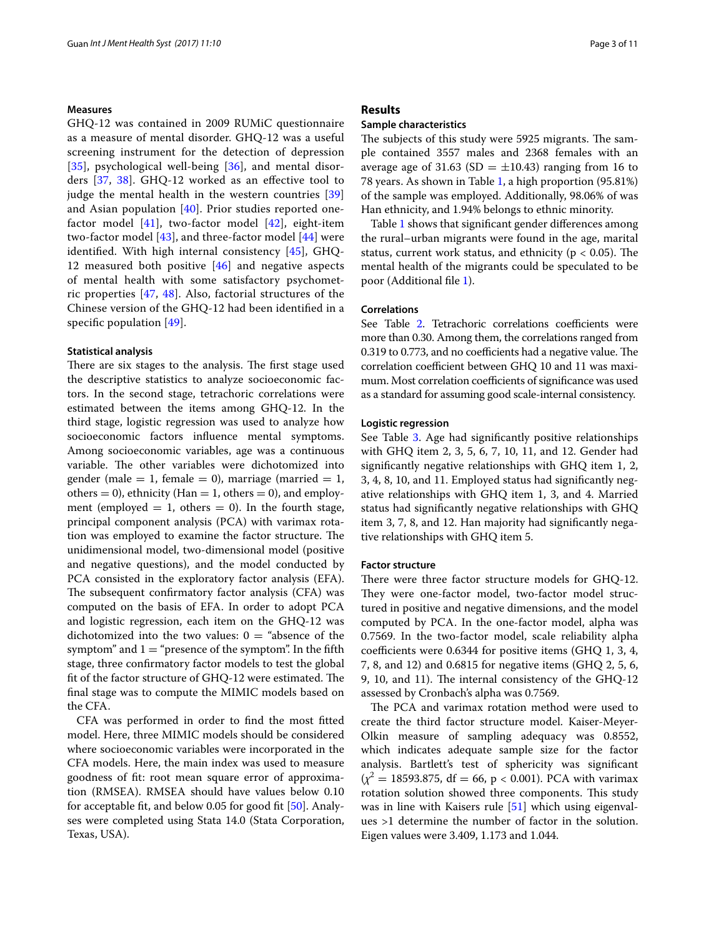### **Measures**

GHQ-12 was contained in 2009 RUMiC questionnaire as a measure of mental disorder. GHQ-12 was a useful screening instrument for the detection of depression [[35](#page-9-5)], psychological well-being [[36\]](#page-9-6), and mental disorders [[37,](#page-9-7) [38\]](#page-9-8). GHQ-12 worked as an effective tool to judge the mental health in the western countries [\[39](#page-9-9)] and Asian population [\[40](#page-9-10)]. Prior studies reported onefactor model [\[41](#page-9-11)], two-factor model [[42\]](#page-9-12), eight-item two-factor model [[43\]](#page-9-13), and three-factor model [[44](#page-9-14)] were identified. With high internal consistency [\[45](#page-9-15)], GHQ-12 measured both positive [[46](#page-9-16)] and negative aspects of mental health with some satisfactory psychometric properties [\[47](#page-9-17), [48](#page-9-18)]. Also, factorial structures of the Chinese version of the GHQ-12 had been identified in a specific population [[49\]](#page-9-19).

#### **Statistical analysis**

There are six stages to the analysis. The first stage used the descriptive statistics to analyze socioeconomic factors. In the second stage, tetrachoric correlations were estimated between the items among GHQ-12. In the third stage, logistic regression was used to analyze how socioeconomic factors influence mental symptoms. Among socioeconomic variables, age was a continuous variable. The other variables were dichotomized into gender (male  $= 1$ , female  $= 0$ ), marriage (married  $= 1$ , others = 0), ethnicity (Han = 1, others = 0), and employment (employed  $= 1$ , others  $= 0$ ). In the fourth stage, principal component analysis (PCA) with varimax rotation was employed to examine the factor structure. The unidimensional model, two-dimensional model (positive and negative questions), and the model conducted by PCA consisted in the exploratory factor analysis (EFA). The subsequent confirmatory factor analysis (CFA) was computed on the basis of EFA. In order to adopt PCA and logistic regression, each item on the GHQ-12 was dichotomized into the two values:  $0 =$  "absence of the symptom" and  $1 =$  "presence of the symptom". In the fifth stage, three confirmatory factor models to test the global fit of the factor structure of GHQ-12 were estimated. The final stage was to compute the MIMIC models based on the CFA.

CFA was performed in order to find the most fitted model. Here, three MIMIC models should be considered where socioeconomic variables were incorporated in the CFA models. Here, the main index was used to measure goodness of fit: root mean square error of approximation (RMSEA). RMSEA should have values below 0.10 for acceptable fit, and below 0.05 for good fit [\[50](#page-9-20)]. Analyses were completed using Stata 14.0 (Stata Corporation, Texas, USA).

### **Results**

### **Sample characteristics**

The subjects of this study were 5925 migrants. The sample contained 3557 males and 2368 females with an average age of 31.63 (SD =  $\pm$ 10.43) ranging from 16 to 78 years. As shown in Table [1,](#page-3-0) a high proportion (95.81%) of the sample was employed. Additionally, 98.06% of was Han ethnicity, and 1.94% belongs to ethnic minority.

Table [1](#page-3-0) shows that significant gender differences among the rural–urban migrants were found in the age, marital status, current work status, and ethnicity ( $p < 0.05$ ). The mental health of the migrants could be speculated to be poor (Additional file [1](#page-8-29)).

# **Correlations**

See Table [2](#page-3-1). Tetrachoric correlations coefficients were more than 0.30. Among them, the correlations ranged from 0.319 to 0.773, and no coefficients had a negative value. The correlation coefficient between GHQ 10 and 11 was maximum. Most correlation coefficients of significance was used as a standard for assuming good scale-internal consistency.

#### **Logistic regression**

See Table [3](#page-4-0). Age had significantly positive relationships with GHQ item 2, 3, 5, 6, 7, 10, 11, and 12. Gender had significantly negative relationships with GHQ item 1, 2, 3, 4, 8, 10, and 11. Employed status had significantly negative relationships with GHQ item 1, 3, and 4. Married status had significantly negative relationships with GHQ item 3, 7, 8, and 12. Han majority had significantly negative relationships with GHQ item 5.

#### **Factor structure**

There were three factor structure models for GHQ-12. They were one-factor model, two-factor model structured in positive and negative dimensions, and the model computed by PCA. In the one-factor model, alpha was 0.7569. In the two-factor model, scale reliability alpha coefficients were 0.6344 for positive items (GHQ 1, 3, 4, 7, 8, and 12) and 0.6815 for negative items (GHQ 2, 5, 6, 9, 10, and 11). The internal consistency of the GHQ-12 assessed by Cronbach's alpha was 0.7569.

The PCA and varimax rotation method were used to create the third factor structure model. Kaiser-Meyer-Olkin measure of sampling adequacy was 0.8552, which indicates adequate sample size for the factor analysis. Bartlett's test of sphericity was significant  $(x^2 = 18593.875, df = 66, p < 0.001$ ). PCA with varimax rotation solution showed three components. This study was in line with Kaisers rule [[51](#page-9-21)] which using eigenvalues >1 determine the number of factor in the solution. Eigen values were 3.409, 1.173 and 1.044.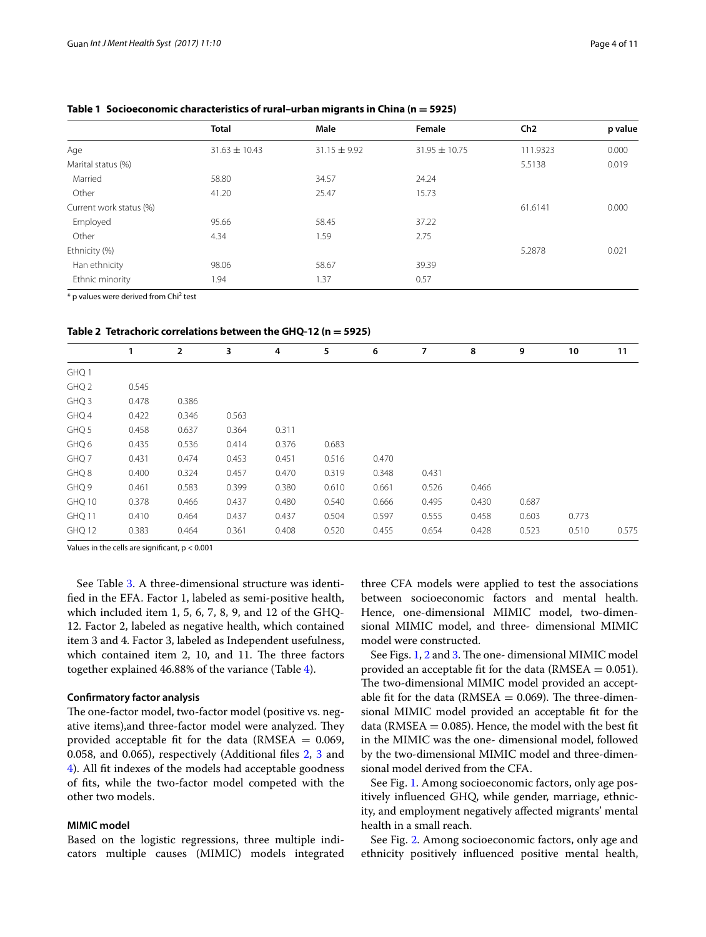|                         | <b>Total</b>      | Male             | Female            | Ch2      | p value |
|-------------------------|-------------------|------------------|-------------------|----------|---------|
| Age                     | $31.63 \pm 10.43$ | $31.15 \pm 9.92$ | $31.95 \pm 10.75$ | 111.9323 | 0.000   |
| Marital status (%)      |                   |                  |                   | 5.5138   | 0.019   |
| Married                 | 58.80             | 34.57            | 24.24             |          |         |
| Other                   | 41.20             | 25.47            | 15.73             |          |         |
| Current work status (%) |                   |                  |                   | 61.6141  | 0.000   |
| Employed                | 95.66             | 58.45            | 37.22             |          |         |
| Other                   | 4.34              | 1.59             | 2.75              |          |         |
| Ethnicity (%)           |                   |                  |                   | 5.2878   | 0.021   |
| Han ethnicity           | 98.06             | 58.67            | 39.39             |          |         |
| Ethnic minority         | 1.94              | 1.37             | 0.57              |          |         |

<span id="page-3-0"></span>**Table 1 Socioeconomic characteristics of rural–urban migrants in China (n = 5925)**

\* p values were derived from Chi<sup>2</sup> test

<span id="page-3-1"></span>**Table 2 Tetrachoric correlations between the GHQ-12 (n = 5925)**

|        | 1     | $\overline{2}$ | 3     | 4     | 5     | 6     | 7     | 8     | 9     | 10    | 11    |
|--------|-------|----------------|-------|-------|-------|-------|-------|-------|-------|-------|-------|
| GHQ 1  |       |                |       |       |       |       |       |       |       |       |       |
| GHQ 2  | 0.545 |                |       |       |       |       |       |       |       |       |       |
| GHQ 3  | 0.478 | 0.386          |       |       |       |       |       |       |       |       |       |
| GHQ 4  | 0.422 | 0.346          | 0.563 |       |       |       |       |       |       |       |       |
| GHQ 5  | 0.458 | 0.637          | 0.364 | 0.311 |       |       |       |       |       |       |       |
| GHQ 6  | 0.435 | 0.536          | 0.414 | 0.376 | 0.683 |       |       |       |       |       |       |
| GHQ 7  | 0.431 | 0.474          | 0.453 | 0.451 | 0.516 | 0.470 |       |       |       |       |       |
| GHQ 8  | 0.400 | 0.324          | 0.457 | 0.470 | 0.319 | 0.348 | 0.431 |       |       |       |       |
| GHQ 9  | 0.461 | 0.583          | 0.399 | 0.380 | 0.610 | 0.661 | 0.526 | 0.466 |       |       |       |
| GHQ 10 | 0.378 | 0.466          | 0.437 | 0.480 | 0.540 | 0.666 | 0.495 | 0.430 | 0.687 |       |       |
| GHQ 11 | 0.410 | 0.464          | 0.437 | 0.437 | 0.504 | 0.597 | 0.555 | 0.458 | 0.603 | 0.773 |       |
| GHQ 12 | 0.383 | 0.464          | 0.361 | 0.408 | 0.520 | 0.455 | 0.654 | 0.428 | 0.523 | 0.510 | 0.575 |

Values in the cells are significant, p < 0.001

See Table [3.](#page-4-0) A three-dimensional structure was identified in the EFA. Factor 1, labeled as semi-positive health, which included item 1, 5, 6, 7, 8, 9, and 12 of the GHQ-12. Factor 2, labeled as negative health, which contained item 3 and 4. Factor 3, labeled as Independent usefulness, which contained item 2, 10, and 11. The three factors together explained 46.88% of the variance (Table [4](#page-5-0)).

#### **Confirmatory factor analysis**

The one-factor model, two-factor model (positive vs. negative items),and three-factor model were analyzed. They provided acceptable fit for the data (RMSEA  $= 0.069$ , 0.058, and 0.065), respectively (Additional files [2](#page-8-30), [3](#page-8-31) and [4\)](#page-8-32). All fit indexes of the models had acceptable goodness of fits, while the two-factor model competed with the other two models.

# **MIMIC model**

Based on the logistic regressions, three multiple indicators multiple causes (MIMIC) models integrated

three CFA models were applied to test the associations between socioeconomic factors and mental health. Hence, one-dimensional MIMIC model, two-dimensional MIMIC model, and three- dimensional MIMIC model were constructed.

See Figs. [1,](#page-5-1) [2](#page-5-2) and [3.](#page-6-0) The one- dimensional MIMIC model provided an acceptable fit for the data ( $RMSEA = 0.051$ ). The two-dimensional MIMIC model provided an acceptable fit for the data (RMSEA  $= 0.069$ ). The three-dimensional MIMIC model provided an acceptable fit for the data (RMSEA  $= 0.085$ ). Hence, the model with the best fit in the MIMIC was the one- dimensional model, followed by the two-dimensional MIMIC model and three-dimensional model derived from the CFA.

See Fig. [1](#page-5-1). Among socioeconomic factors, only age positively influenced GHQ, while gender, marriage, ethnicity, and employment negatively affected migrants' mental health in a small reach.

See Fig. [2.](#page-5-2) Among socioeconomic factors, only age and ethnicity positively influenced positive mental health,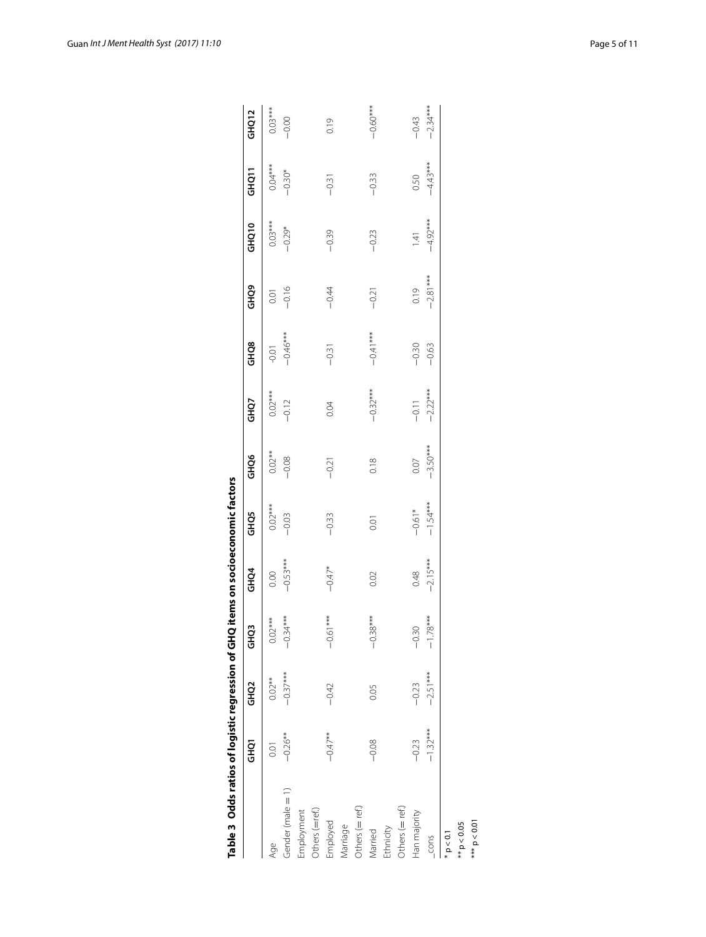| Table 3 Odds ratios of logistic regression of GHQ items on socioeconomic factors |             |                  |                 |            |            |            |                 |            |                 |                   |                   |            |
|----------------------------------------------------------------------------------|-------------|------------------|-----------------|------------|------------|------------|-----------------|------------|-----------------|-------------------|-------------------|------------|
|                                                                                  | <b>GHOT</b> | GHQ <sub>2</sub> | GH <sub>3</sub> | GHQ4       | GHQ5       | GHQ6       | GH <sub>2</sub> | GHQ8       | GH <sub>O</sub> | GHO <sub>10</sub> | GHQ <sub>11</sub> | GHQ12      |
| Age                                                                              | 0.01        | $0.02**$         | $0.02***$       | 0.00       | $0.02***$  | $0.02**$   | $0.02***$       | $-0.01$    | 0.01            | $0.03***$         | $0.04***$         | $0.03***$  |
| Gender (male = 1)                                                                | $-0.26**$   | $-0.37***$       | $-0.34***$      | $-0.53***$ | $-0.03$    | $-0.08$    | $-0.12$         | $-0.46***$ | $-0.16$         | $-0.29*$          | $-0.30*$          | $-0.00$    |
| Others (=ref)<br>Employment                                                      |             |                  |                 |            |            |            |                 |            |                 |                   |                   |            |
| Employed                                                                         | $-0.47**$   | $-0.42$          | $-0.61***$      | $-0.47*$   | $-0.33$    | $-0.21$    | 0.04            | $-0.31$    | $-0.44$         | $-0.39$           | $-0.31$           | 0.19       |
| Aarriage                                                                         |             |                  |                 |            |            |            |                 |            |                 |                   |                   |            |
| Others $(=ref.)$                                                                 |             |                  |                 |            |            |            |                 |            |                 |                   |                   |            |
| Vlarried                                                                         | $-0.08$     | 0.05             | $-0.38***$      | 0.02       | 0.01       | 0.18       | $-0.32***$      | $-0.41***$ | $-0.21$         | $-0.23$           | $-0.33$           | $-0.60***$ |
| Ethnicity                                                                        |             |                  |                 |            |            |            |                 |            |                 |                   |                   |            |
| Others ( $=$ ref.)                                                               |             |                  |                 |            |            |            |                 |            |                 |                   |                   |            |
| Han majority                                                                     | $-0.23$     | $-0.23$          | $-0.30$         | 0.48       | $-0.61*$   | 0.07       | $-0.11$         | $-0.30$    | 0.19            | $\overline{14}$   | 0.50              | $-0.43$    |
| _cons                                                                            | $-1.32***$  | $-2.51***$       | $-1.78***$      | $-2.15***$ | $-1.54***$ | $-3.50***$ | $-2.22***$      | $-0.63$    | $-2.81***$      | $-4.92***$        | $-4.43***$        | $-2.34***$ |
| p < 0.1                                                                          |             |                  |                 |            |            |            |                 |            |                 |                   |                   |            |
| $^{**}p < 0.05$                                                                  |             |                  |                 |            |            |            |                 |            |                 |                   |                   |            |
| *** $p < 0.01$                                                                   |             |                  |                 |            |            |            |                 |            |                 |                   |                   |            |

<span id="page-4-0"></span>

| こくらくこくじょう     |
|---------------|
|               |
|               |
|               |
|               |
|               |
|               |
|               |
|               |
|               |
|               |
|               |
|               |
|               |
|               |
|               |
| j             |
| į             |
|               |
| i             |
|               |
|               |
|               |
| --------<br>۱ |
|               |
|               |
|               |
|               |
|               |
| ۱             |
| i             |
|               |
|               |
|               |
|               |
|               |
|               |
|               |
|               |
|               |
|               |
|               |
| ſ<br>١        |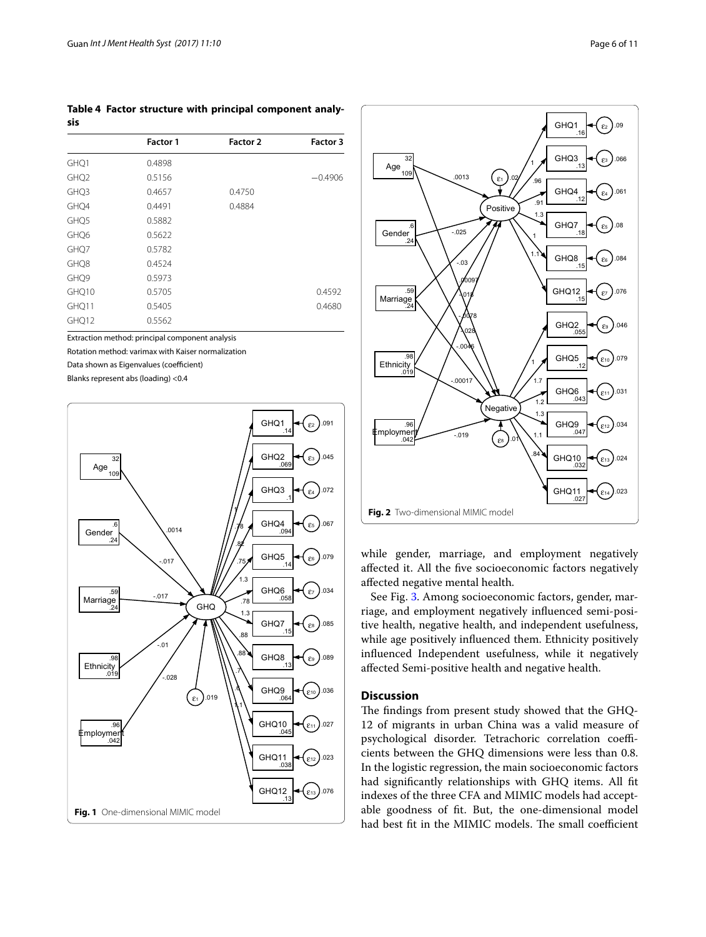<span id="page-5-0"></span>**Table 4 Factor structure with principal component analysis**

|                  | Factor 1 | Factor 2 | Factor 3  |
|------------------|----------|----------|-----------|
| GHQ1             | 0.4898   |          |           |
| GHQ <sub>2</sub> | 0.5156   |          | $-0.4906$ |
| GHQ3             | 0.4657   | 0.4750   |           |
| GHQ4             | 0.4491   | 0.4884   |           |
| GHQ5             | 0.5882   |          |           |
| GHQ6             | 0.5622   |          |           |
| GHQ7             | 0.5782   |          |           |
| GHQ8             | 0.4524   |          |           |
| GHQ9             | 0.5973   |          |           |
| GHQ10            | 0.5705   |          | 0.4592    |
| GHQ11            | 0.5405   |          | 0.4680    |
| GHQ12            | 0.5562   |          |           |

Extraction method: principal component analysis

Rotation method: varimax with Kaiser normalization

Data shown as Eigenvalues (coefficient)

Blanks represent abs (loading) <0.4





<span id="page-5-2"></span>while gender, marriage, and employment negatively affected it. All the five socioeconomic factors negatively affected negative mental health.

See Fig. [3.](#page-6-0) Among socioeconomic factors, gender, marriage, and employment negatively influenced semi-positive health, negative health, and independent usefulness, while age positively influenced them. Ethnicity positively influenced Independent usefulness, while it negatively affected Semi-positive health and negative health.

# **Discussion**

<span id="page-5-1"></span>The findings from present study showed that the GHQ-12 of migrants in urban China was a valid measure of psychological disorder. Tetrachoric correlation coefficients between the GHQ dimensions were less than 0.8. In the logistic regression, the main socioeconomic factors had significantly relationships with GHQ items. All fit indexes of the three CFA and MIMIC models had acceptable goodness of fit. But, the one-dimensional model had best fit in the MIMIC models. The small coefficient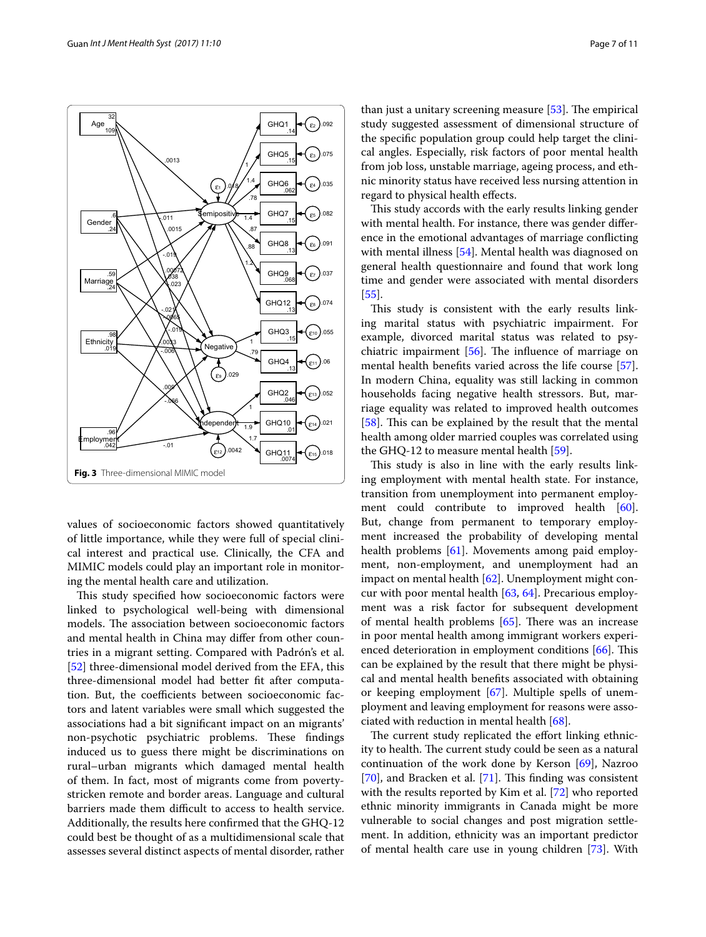

<span id="page-6-0"></span>values of socioeconomic factors showed quantitatively of little importance, while they were full of special clinical interest and practical use. Clinically, the CFA and MIMIC models could play an important role in monitoring the mental health care and utilization.

This study specified how socioeconomic factors were linked to psychological well-being with dimensional models. The association between socioeconomic factors and mental health in China may differ from other countries in a migrant setting. Compared with Padrón's et al. [[52\]](#page-9-22) three-dimensional model derived from the EFA, this three-dimensional model had better fit after computation. But, the coefficients between socioeconomic factors and latent variables were small which suggested the associations had a bit significant impact on an migrants' non-psychotic psychiatric problems. These findings induced us to guess there might be discriminations on rural–urban migrants which damaged mental health of them. In fact, most of migrants come from povertystricken remote and border areas. Language and cultural barriers made them difficult to access to health service. Additionally, the results here confirmed that the GHQ-12 could best be thought of as a multidimensional scale that assesses several distinct aspects of mental disorder, rather than just a unitary screening measure [\[53](#page-9-23)]. The empirical study suggested assessment of dimensional structure of the specific population group could help target the clinical angles. Especially, risk factors of poor mental health from job loss, unstable marriage, ageing process, and ethnic minority status have received less nursing attention in regard to physical health effects.

This study accords with the early results linking gender with mental health. For instance, there was gender difference in the emotional advantages of marriage conflicting with mental illness [[54\]](#page-9-24). Mental health was diagnosed on general health questionnaire and found that work long time and gender were associated with mental disorders [[55\]](#page-9-25).

This study is consistent with the early results linking marital status with psychiatric impairment. For example, divorced marital status was related to psychiatric impairment [\[56](#page-9-26)]. The influence of marriage on mental health benefits varied across the life course [\[57](#page-9-27)]. In modern China, equality was still lacking in common households facing negative health stressors. But, marriage equality was related to improved health outcomes [[58\]](#page-9-28). This can be explained by the result that the mental health among older married couples was correlated using the GHQ-12 to measure mental health [[59\]](#page-9-29).

This study is also in line with the early results linking employment with mental health state. For instance, transition from unemployment into permanent employ-ment could contribute to improved health [\[60](#page-9-30)]. But, change from permanent to temporary employment increased the probability of developing mental health problems [[61](#page-9-31)]. Movements among paid employment, non-employment, and unemployment had an impact on mental health [[62\]](#page-9-32). Unemployment might concur with poor mental health [\[63,](#page-9-33) [64\]](#page-9-34). Precarious employment was a risk factor for subsequent development of mental health problems [\[65](#page-9-35)]. There was an increase in poor mental health among immigrant workers experienced deterioration in employment conditions [[66\]](#page-9-36). This can be explained by the result that there might be physical and mental health benefits associated with obtaining or keeping employment [\[67](#page-9-37)]. Multiple spells of unemployment and leaving employment for reasons were associated with reduction in mental health [\[68](#page-9-38)].

The current study replicated the effort linking ethnicity to health. The current study could be seen as a natural continuation of the work done by Kerson [[69\]](#page-9-39), Nazroo [[70\]](#page-9-40), and Bracken et al. [[71](#page-9-41)]. This finding was consistent with the results reported by Kim et al. [\[72\]](#page-9-42) who reported ethnic minority immigrants in Canada might be more vulnerable to social changes and post migration settlement. In addition, ethnicity was an important predictor of mental health care use in young children [[73\]](#page-9-43). With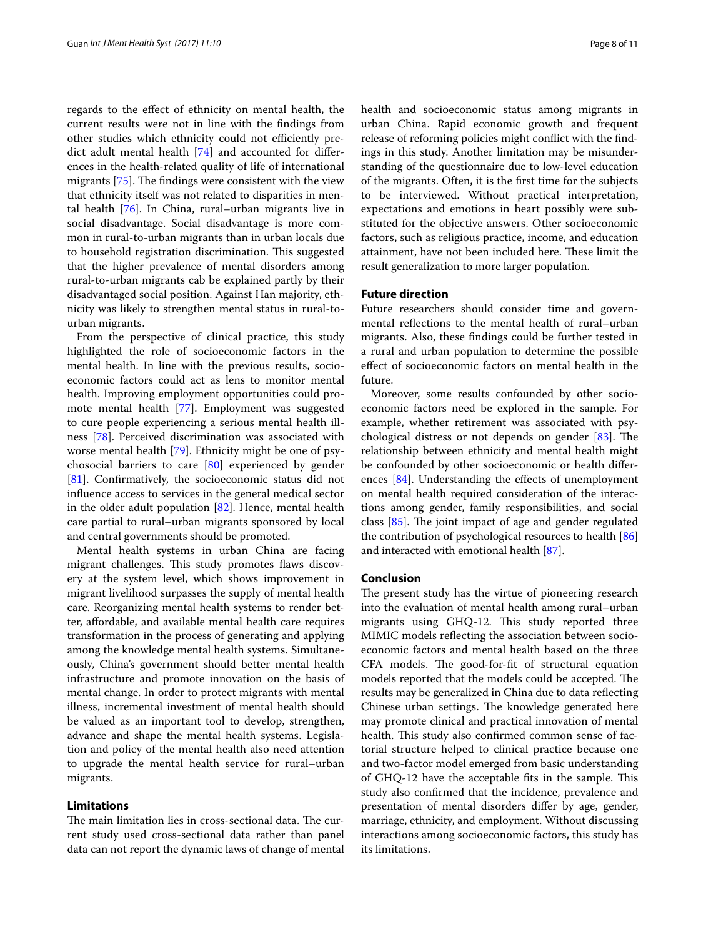regards to the effect of ethnicity on mental health, the current results were not in line with the findings from other studies which ethnicity could not efficiently predict adult mental health [[74\]](#page-9-44) and accounted for differences in the health-related quality of life of international migrants [[75\]](#page-9-45). The findings were consistent with the view that ethnicity itself was not related to disparities in mental health [\[76](#page-9-46)]. In China, rural–urban migrants live in social disadvantage. Social disadvantage is more common in rural-to-urban migrants than in urban locals due to household registration discrimination. This suggested that the higher prevalence of mental disorders among rural-to-urban migrants cab be explained partly by their disadvantaged social position. Against Han majority, ethnicity was likely to strengthen mental status in rural-tourban migrants.

From the perspective of clinical practice, this study highlighted the role of socioeconomic factors in the mental health. In line with the previous results, socioeconomic factors could act as lens to monitor mental health. Improving employment opportunities could promote mental health [\[77\]](#page-10-0). Employment was suggested to cure people experiencing a serious mental health illness [\[78](#page-10-1)]. Perceived discrimination was associated with worse mental health [[79](#page-10-2)]. Ethnicity might be one of psychosocial barriers to care [\[80](#page-10-3)] experienced by gender [[81\]](#page-10-4). Confirmatively, the socioeconomic status did not influence access to services in the general medical sector in the older adult population [\[82](#page-10-5)]. Hence, mental health care partial to rural–urban migrants sponsored by local and central governments should be promoted.

Mental health systems in urban China are facing migrant challenges. This study promotes flaws discovery at the system level, which shows improvement in migrant livelihood surpasses the supply of mental health care. Reorganizing mental health systems to render better, affordable, and available mental health care requires transformation in the process of generating and applying among the knowledge mental health systems. Simultaneously, China's government should better mental health infrastructure and promote innovation on the basis of mental change. In order to protect migrants with mental illness, incremental investment of mental health should be valued as an important tool to develop, strengthen, advance and shape the mental health systems. Legislation and policy of the mental health also need attention to upgrade the mental health service for rural–urban migrants.

# **Limitations**

The main limitation lies in cross-sectional data. The current study used cross-sectional data rather than panel data can not report the dynamic laws of change of mental health and socioeconomic status among migrants in urban China. Rapid economic growth and frequent release of reforming policies might conflict with the findings in this study. Another limitation may be misunderstanding of the questionnaire due to low-level education of the migrants. Often, it is the first time for the subjects to be interviewed. Without practical interpretation, expectations and emotions in heart possibly were substituted for the objective answers. Other socioeconomic factors, such as religious practice, income, and education attainment, have not been included here. These limit the result generalization to more larger population.

# **Future direction**

Future researchers should consider time and governmental reflections to the mental health of rural–urban migrants. Also, these findings could be further tested in a rural and urban population to determine the possible effect of socioeconomic factors on mental health in the future.

Moreover, some results confounded by other socioeconomic factors need be explored in the sample. For example, whether retirement was associated with psychological distress or not depends on gender [[83\]](#page-10-6). The relationship between ethnicity and mental health might be confounded by other socioeconomic or health differences [\[84](#page-10-7)]. Understanding the effects of unemployment on mental health required consideration of the interactions among gender, family responsibilities, and social class [\[85](#page-10-8)]. The joint impact of age and gender regulated the contribution of psychological resources to health [[86](#page-10-9)] and interacted with emotional health [\[87](#page-10-10)].

# **Conclusion**

The present study has the virtue of pioneering research into the evaluation of mental health among rural–urban migrants using GHQ-12. This study reported three MIMIC models reflecting the association between socioeconomic factors and mental health based on the three CFA models. The good-for-fit of structural equation models reported that the models could be accepted. The results may be generalized in China due to data reflecting Chinese urban settings. The knowledge generated here may promote clinical and practical innovation of mental health. This study also confirmed common sense of factorial structure helped to clinical practice because one and two-factor model emerged from basic understanding of GHQ-12 have the acceptable fits in the sample. This study also confirmed that the incidence, prevalence and presentation of mental disorders differ by age, gender, marriage, ethnicity, and employment. Without discussing interactions among socioeconomic factors, this study has its limitations.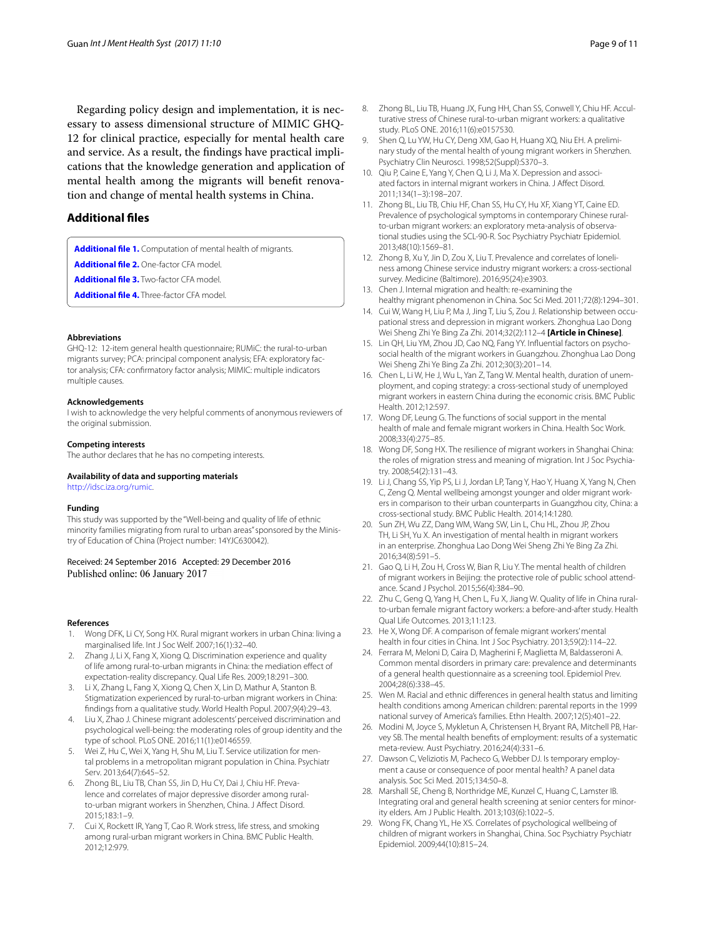Regarding policy design and implementation, it is necessary to assess dimensional structure of MIMIC GHQ-12 for clinical practice, especially for mental health care and service. As a result, the findings have practical implications that the knowledge generation and application of mental health among the migrants will benefit renovation and change of mental health systems in China.

# **Additional files**

<span id="page-8-30"></span><span id="page-8-29"></span>**[Additional file 1.](http://dx.doi.org/10.1186/s13033-016-0118-y)** Computation of mental health of migrants.

<span id="page-8-32"></span><span id="page-8-31"></span>**[Additional file 2.](http://dx.doi.org/10.1186/s13033-016-0118-y)** One-factor CFA model.

**[Additional file 3.](http://dx.doi.org/10.1186/s13033-016-0118-y)** Two-factor CFA model.

**[Additional file 4.](http://dx.doi.org/10.1186/s13033-016-0118-y)** Three-factor CFA model.

#### **Abbreviations**

GHQ-12: 12-item general health questionnaire; RUMiC: the rural-to-urban migrants survey; PCA: principal component analysis; EFA: exploratory factor analysis; CFA: confirmatory factor analysis; MIMIC: multiple indicators multiple causes.

#### **Acknowledgements**

I wish to acknowledge the very helpful comments of anonymous reviewers of the original submission.

#### **Competing interests**

The author declares that he has no competing interests.

### **Availability of data and supporting materials**

<http://idsc.iza.org/rumic>.

### **Funding**

This study was supported by the "Well-being and quality of life of ethnic minority families migrating from rural to urban areas" sponsored by the Ministry of Education of China (Project number: 14YJC630042).

### Received: 24 September 2016 Accepted: 29 December 2016 Published online: 06 January 2017

#### **References**

- <span id="page-8-0"></span>1. Wong DFK, Li CY, Song HX. Rural migrant workers in urban China: living a marginalised life. Int J Soc Welf. 2007;16(1):32–40.
- <span id="page-8-1"></span>2. Zhang J, Li X, Fang X, Xiong Q. Discrimination experience and quality of life among rural-to-urban migrants in China: the mediation effect of expectation-reality discrepancy. Qual Life Res. 2009;18:291–300.
- <span id="page-8-2"></span>Li X, Zhang L, Fang X, Xiong Q, Chen X, Lin D, Mathur A, Stanton B. Stigmatization experienced by rural-to-urban migrant workers in China: findings from a qualitative study. World Health Popul. 2007;9(4):29–43.
- <span id="page-8-3"></span>4. Liu X, Zhao J. Chinese migrant adolescents' perceived discrimination and psychological well-being: the moderating roles of group identity and the type of school. PLoS ONE. 2016;11(1):e0146559.
- <span id="page-8-4"></span>5. Wei Z, Hu C, Wei X, Yang H, Shu M, Liu T. Service utilization for mental problems in a metropolitan migrant population in China. Psychiatr Serv. 2013;64(7):645–52.
- <span id="page-8-5"></span>6. Zhong BL, Liu TB, Chan SS, Jin D, Hu CY, Dai J, Chiu HF. Prevalence and correlates of major depressive disorder among ruralto-urban migrant workers in Shenzhen, China. J Affect Disord. 2015;183:1–9.
- <span id="page-8-6"></span>7. Cui X, Rockett IR, Yang T, Cao R. Work stress, life stress, and smoking among rural-urban migrant workers in China. BMC Public Health. 2012;12:979.
- <span id="page-8-7"></span>8. Zhong BL, Liu TB, Huang JX, Fung HH, Chan SS, Conwell Y, Chiu HF. Acculturative stress of Chinese rural-to-urban migrant workers: a qualitative study. PLoS ONE. 2016;11(6):e0157530.
- <span id="page-8-8"></span>9. Shen Q, Lu YW, Hu CY, Deng XM, Gao H, Huang XQ, Niu EH. A preliminary study of the mental health of young migrant workers in Shenzhen. Psychiatry Clin Neurosci. 1998;52(Suppl):S370–3.
- <span id="page-8-9"></span>10. Qiu P, Caine E, Yang Y, Chen Q, Li J, Ma X. Depression and associated factors in internal migrant workers in China. J Affect Disord. 2011;134(1–3):198–207.
- <span id="page-8-10"></span>11. Zhong BL, Liu TB, Chiu HF, Chan SS, Hu CY, Hu XF, Xiang YT, Caine ED. Prevalence of psychological symptoms in contemporary Chinese ruralto-urban migrant workers: an exploratory meta-analysis of observational studies using the SCL-90-R. Soc Psychiatry Psychiatr Epidemiol. 2013;48(10):1569–81.
- <span id="page-8-11"></span>12. Zhong B, Xu Y, Jin D, Zou X, Liu T. Prevalence and correlates of loneliness among Chinese service industry migrant workers: a cross-sectional survey. Medicine (Baltimore). 2016;95(24):e3903.
- <span id="page-8-12"></span>13. Chen J. Internal migration and health: re-examining the healthy migrant phenomenon in China. Soc Sci Med. 2011;72(8):1294–301.
- <span id="page-8-13"></span>14. Cui W, Wang H, Liu P, Ma J, Jing T, Liu S, Zou J. Relationship between occupational stress and depression in migrant workers. Zhonghua Lao Dong Wei Sheng Zhi Ye Bing Za Zhi. 2014;32(2):112–4 **[Article in Chinese]**.
- <span id="page-8-14"></span>15. Lin QH, Liu YM, Zhou JD, Cao NQ, Fang YY. Influential factors on psychosocial health of the migrant workers in Guangzhou. Zhonghua Lao Dong Wei Sheng Zhi Ye Bing Za Zhi. 2012;30(3):201–14.
- <span id="page-8-15"></span>16. Chen L, Li W, He J, Wu L, Yan Z, Tang W. Mental health, duration of unemployment, and coping strategy: a cross-sectional study of unemployed migrant workers in eastern China during the economic crisis. BMC Public Health. 2012;12:597.
- <span id="page-8-16"></span>17. Wong DF, Leung G. The functions of social support in the mental health of male and female migrant workers in China. Health Soc Work. 2008;33(4):275–85.
- <span id="page-8-17"></span>18. Wong DF, Song HX. The resilience of migrant workers in Shanghai China: the roles of migration stress and meaning of migration. Int J Soc Psychiatry. 2008;54(2):131–43.
- <span id="page-8-18"></span>19. Li J, Chang SS, Yip PS, Li J, Jordan LP, Tang Y, Hao Y, Huang X, Yang N, Chen C, Zeng Q. Mental wellbeing amongst younger and older migrant workers in comparison to their urban counterparts in Guangzhou city, China: a cross-sectional study. BMC Public Health. 2014;14:1280.
- <span id="page-8-19"></span>20. Sun ZH, Wu ZZ, Dang WM, Wang SW, Lin L, Chu HL, Zhou JP, Zhou TH, Li SH, Yu X. An investigation of mental health in migrant workers in an enterprise. Zhonghua Lao Dong Wei Sheng Zhi Ye Bing Za Zhi. 2016;34(8):591–5.
- <span id="page-8-20"></span>21. Gao Q, Li H, Zou H, Cross W, Bian R, Liu Y. The mental health of children of migrant workers in Beijing: the protective role of public school attendance. Scand J Psychol. 2015;56(4):384–90.
- <span id="page-8-21"></span>22. Zhu C, Geng Q, Yang H, Chen L, Fu X, Jiang W. Quality of life in China ruralto-urban female migrant factory workers: a before-and-after study. Health Qual Life Outcomes. 2013;11:123.
- <span id="page-8-22"></span>23. He X, Wong DF. A comparison of female migrant workers'mental health in four cities in China. Int J Soc Psychiatry. 2013;59(2):114–22.
- <span id="page-8-23"></span>24. Ferrara M, Meloni D, Caira D, Magherini F, Maglietta M, Baldasseroni A. Common mental disorders in primary care: prevalence and determinants of a general health questionnaire as a screening tool. Epidemiol Prev. 2004;28(6):338–45.
- <span id="page-8-24"></span>25. Wen M. Racial and ethnic differences in general health status and limiting health conditions among American children: parental reports in the 1999 national survey of America's families. Ethn Health. 2007;12(5):401–22.
- <span id="page-8-25"></span>26. Modini M, Joyce S, Mykletun A, Christensen H, Bryant RA, Mitchell PB, Harvey SB. The mental health benefits of employment: results of a systematic meta-review. Aust Psychiatry. 2016;24(4):331–6.
- <span id="page-8-26"></span>27. Dawson C, Veliziotis M, Pacheco G, Webber DJ. Is temporary employment a cause or consequence of poor mental health? A panel data analysis. Soc Sci Med. 2015;134:50–8.
- <span id="page-8-27"></span>28. Marshall SE, Cheng B, Northridge ME, Kunzel C, Huang C, Lamster IB. Integrating oral and general health screening at senior centers for minority elders. Am J Public Health. 2013;103(6):1022–5.
- <span id="page-8-28"></span>29. Wong FK, Chang YL, He XS. Correlates of psychological wellbeing of children of migrant workers in Shanghai, China. Soc Psychiatry Psychiatr Epidemiol. 2009;44(10):815–24.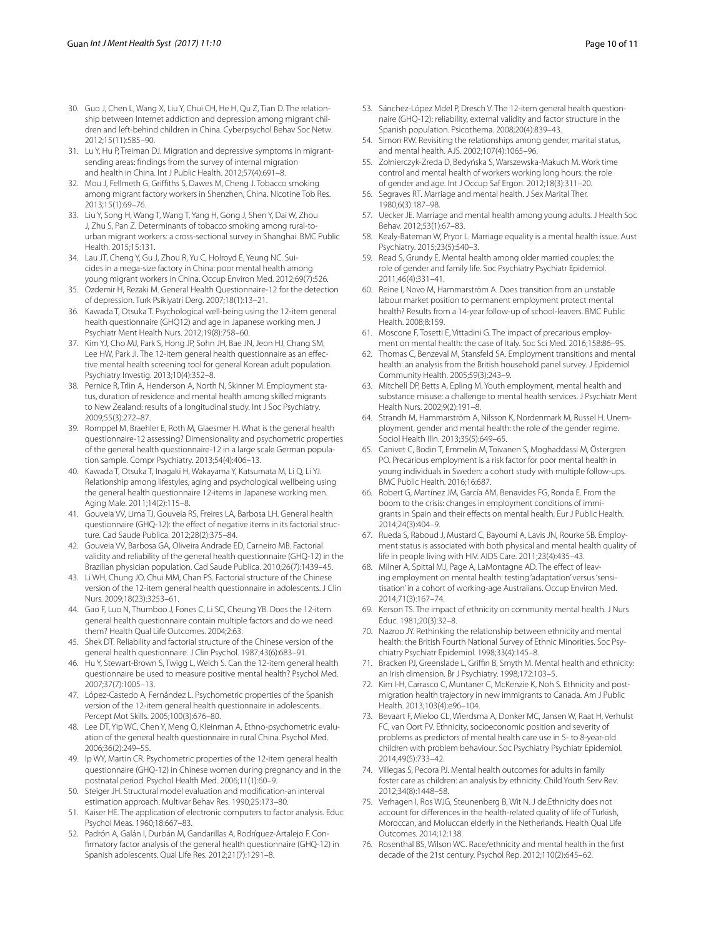- <span id="page-9-0"></span>30. Guo J, Chen L, Wang X, Liu Y, Chui CH, He H, Qu Z, Tian D. The relationship between Internet addiction and depression among migrant children and left-behind children in China. Cyberpsychol Behav Soc Netw. 2012;15(11):585–90.
- <span id="page-9-1"></span>31. Lu Y, Hu P, Treiman DJ. Migration and depressive symptoms in migrantsending areas: findings from the survey of internal migration and health in China. Int J Public Health. 2012;57(4):691–8.
- <span id="page-9-2"></span>32. Mou J, Fellmeth G, Griffiths S, Dawes M, Cheng J. Tobacco smoking among migrant factory workers in Shenzhen, China. Nicotine Tob Res. 2013;15(1):69–76.
- <span id="page-9-3"></span>33. Liu Y, Song H, Wang T, Wang T, Yang H, Gong J, Shen Y, Dai W, Zhou J, Zhu S, Pan Z. Determinants of tobacco smoking among rural-tourban migrant workers: a cross-sectional survey in Shanghai. BMC Public Health. 2015;15:131.
- <span id="page-9-4"></span>34. Lau JT, Cheng Y, Gu J, Zhou R, Yu C, Holroyd E, Yeung NC. Suicides in a mega-size factory in China: poor mental health among young migrant workers in China. Occup Environ Med. 2012;69(7):526.
- <span id="page-9-5"></span>35. Ozdemir H, Rezaki M. General Health Questionnaire-12 for the detection of depression. Turk Psikiyatri Derg. 2007;18(1):13–21.
- <span id="page-9-6"></span>36. Kawada T, Otsuka T. Psychological well-being using the 12-item general health questionnaire (GHQ12) and age in Japanese working men. J Psychiatr Ment Health Nurs. 2012;19(8):758–60.
- <span id="page-9-7"></span>37. Kim YJ, Cho MJ, Park S, Hong JP, Sohn JH, Bae JN, Jeon HJ, Chang SM, Lee HW, Park JI. The 12-item general health questionnaire as an effective mental health screening tool for general Korean adult population. Psychiatry Investig. 2013;10(4):352–8.
- <span id="page-9-8"></span>38. Pernice R, Trlin A, Henderson A, North N, Skinner M. Employment status, duration of residence and mental health among skilled migrants to New Zealand: results of a longitudinal study. Int J Soc Psychiatry. 2009;55(3):272–87.
- <span id="page-9-9"></span>39. Romppel M, Braehler E, Roth M, Glaesmer H. What is the general health questionnaire-12 assessing? Dimensionality and psychometric properties of the general health questionnaire-12 in a large scale German population sample. Compr Psychiatry. 2013;54(4):406–13.
- <span id="page-9-10"></span>40. Kawada T, Otsuka T, Inagaki H, Wakayama Y, Katsumata M, Li Q, Li YJ. Relationship among lifestyles, aging and psychological wellbeing using the general health questionnaire 12-items in Japanese working men. Aging Male. 2011;14(2):115–8.
- <span id="page-9-11"></span>41. Gouveia VV, Lima TJ, Gouveia RS, Freires LA, Barbosa LH. General health questionnaire (GHQ-12): the effect of negative items in its factorial structure. Cad Saude Publica. 2012;28(2):375–84.
- <span id="page-9-12"></span>42. Gouveia VV, Barbosa GA, Oliveira Andrade ED, Carneiro MB. Factorial validity and reliability of the general health questionnaire (GHQ-12) in the Brazilian physician population. Cad Saude Publica. 2010;26(7):1439–45.
- <span id="page-9-13"></span>43. Li WH, Chung JO, Chui MM, Chan PS. Factorial structure of the Chinese version of the 12-item general health questionnaire in adolescents. J Clin Nurs. 2009;18(23):3253–61.
- <span id="page-9-14"></span>44. Gao F, Luo N, Thumboo J, Fones C, Li SC, Cheung YB. Does the 12-item general health questionnaire contain multiple factors and do we need them? Health Qual Life Outcomes. 2004;2:63.
- <span id="page-9-15"></span>45. Shek DT. Reliability and factorial structure of the Chinese version of the general health questionnaire. J Clin Psychol. 1987;43(6):683–91.
- <span id="page-9-16"></span>46. Hu Y, Stewart-Brown S, Twigg L, Weich S. Can the 12-item general health questionnaire be used to measure positive mental health? Psychol Med. 2007;37(7):1005–13.
- <span id="page-9-17"></span>47. López-Castedo A, Fernández L. Psychometric properties of the Spanish version of the 12-item general health questionnaire in adolescents. Percept Mot Skills. 2005;100(3):676–80.
- <span id="page-9-18"></span>48. Lee DT, Yip WC, Chen Y, Meng Q, Kleinman A. Ethno-psychometric evaluation of the general health questionnaire in rural China. Psychol Med. 2006;36(2):249–55.
- <span id="page-9-19"></span>49. Ip WY, Martin CR. Psychometric properties of the 12-item general health questionnaire (GHQ-12) in Chinese women during pregnancy and in the postnatal period. Psychol Health Med. 2006;11(1):60–9.
- <span id="page-9-20"></span>50. Steiger JH. Structural model evaluation and modification-an interval estimation approach. Multivar Behav Res. 1990;25:173–80.
- <span id="page-9-21"></span>51. Kaiser HE. The application of electronic computers to factor analysis. Educ Psychol Meas. 1960;18:667–83.
- <span id="page-9-22"></span>52. Padrón A, Galán I, Durbán M, Gandarillas A, Rodríguez-Artalejo F. Confirmatory factor analysis of the general health questionnaire (GHQ-12) in Spanish adolescents. Qual Life Res. 2012;21(7):1291–8.
- <span id="page-9-23"></span>53. Sánchez-López Mdel P, Dresch V. The 12-item general health questionnaire (GHQ-12): reliability, external validity and factor structure in the Spanish population. Psicothema. 2008;20(4):839–43.
- <span id="page-9-24"></span>54. Simon RW. Revisiting the relationships among gender, marital status, and mental health. AJS. 2002;107(4):1065–96.
- <span id="page-9-25"></span>55. Zołnierczyk-Zreda D, Bedyńska S, Warszewska-Makuch M. Work time control and mental health of workers working long hours: the role of gender and age. Int J Occup Saf Ergon. 2012;18(3):311–20.
- <span id="page-9-26"></span>56. Segraves RT. Marriage and mental health. J Sex Marital Ther. 1980;6(3):187–98.
- <span id="page-9-27"></span>57. Uecker JE. Marriage and mental health among young adults. J Health Soc Behav. 2012;53(1):67–83.
- <span id="page-9-28"></span>58. Kealy-Bateman W, Pryor L. Marriage equality is a mental health issue. Aust Psychiatry. 2015;23(5):540–3.
- <span id="page-9-29"></span>59. Read S, Grundy E. Mental health among older married couples: the role of gender and family life. Soc Psychiatry Psychiatr Epidemiol. 2011;46(4):331–41.
- <span id="page-9-30"></span>60. Reine I, Novo M, Hammarström A. Does transition from an unstable labour market position to permanent employment protect mental health? Results from a 14-year follow-up of school-leavers. BMC Public Health. 2008;8:159.
- <span id="page-9-31"></span>61. Moscone F, Tosetti E, Vittadini G. The impact of precarious employment on mental health: the case of Italy. Soc Sci Med. 2016;158:86–95.
- <span id="page-9-32"></span>62. Thomas C, Benzeval M, Stansfeld SA. Employment transitions and mental health: an analysis from the British household panel survey. J Epidemiol Community Health. 2005;59(3):243–9.
- <span id="page-9-33"></span>63. Mitchell DP, Betts A, Epling M. Youth employment, mental health and substance misuse: a challenge to mental health services. J Psychiatr Ment Health Nurs. 2002;9(2):191–8.
- <span id="page-9-34"></span>64. Strandh M, Hammarström A, Nilsson K, Nordenmark M, Russel H. Unemployment, gender and mental health: the role of the gender regime. Sociol Health Illn. 2013;35(5):649–65.
- <span id="page-9-35"></span>65. Canivet C, Bodin T, Emmelin M, Toivanen S, Moghaddassi M, Östergren PO. Precarious employment is a risk factor for poor mental health in young individuals in Sweden: a cohort study with multiple follow-ups. BMC Public Health. 2016;16:687.
- <span id="page-9-36"></span>66. Robert G, Martínez JM, García AM, Benavides FG, Ronda E. From the boom to the crisis: changes in employment conditions of immigrants in Spain and their effects on mental health. Eur J Public Health. 2014;24(3):404–9.
- <span id="page-9-37"></span>67. Rueda S, Raboud J, Mustard C, Bayoumi A, Lavis JN, Rourke SB. Employment status is associated with both physical and mental health quality of life in people living with HIV. AIDS Care. 2011;23(4):435–43.
- <span id="page-9-38"></span>68. Milner A, Spittal MJ, Page A, LaMontagne AD. The effect of leaving employment on mental health: testing 'adaptation' versus 'sensitisation' in a cohort of working-age Australians. Occup Environ Med. 2014;71(3):167–74.
- <span id="page-9-39"></span>69. Kerson TS. The impact of ethnicity on community mental health. J Nurs Educ. 1981;20(3):32–8.
- <span id="page-9-40"></span>70. Nazroo JY. Rethinking the relationship between ethnicity and mental health: the British Fourth National Survey of Ethnic Minorities. Soc Psychiatry Psychiatr Epidemiol. 1998;33(4):145–8.
- <span id="page-9-41"></span>71. Bracken PJ, Greenslade L, Griffin B, Smyth M. Mental health and ethnicity: an Irish dimension. Br J Psychiatry. 1998;172:103–5.
- <span id="page-9-42"></span>72. Kim I-H, Carrasco C, Muntaner C, McKenzie K, Noh S. Ethnicity and postmigration health trajectory in new immigrants to Canada. Am J Public Health. 2013;103(4):e96–104.
- <span id="page-9-43"></span>73. Bevaart F, Mieloo CL, Wierdsma A, Donker MC, Jansen W, Raat H, Verhulst FC, van Oort FV. Ethnicity, socioeconomic position and severity of problems as predictors of mental health care use in 5- to 8-year-old children with problem behaviour. Soc Psychiatry Psychiatr Epidemiol. 2014;49(5):733–42.
- <span id="page-9-44"></span>74. Villegas S, Pecora PJ. Mental health outcomes for adults in family foster care as children: an analysis by ethnicity. Child Youth Serv Rev. 2012;34(8):1448–58.
- <span id="page-9-45"></span>75. Verhagen I, Ros WJG, Steunenberg B, Wit N. J de.Ethnicity does not account for differences in the health-related quality of life of Turkish, Moroccan, and Moluccan elderly in the Netherlands. Health Qual Life Outcomes. 2014;12:138.
- <span id="page-9-46"></span>76. Rosenthal BS, Wilson WC. Race/ethnicity and mental health in the first decade of the 21st century. Psychol Rep. 2012;110(2):645–62.